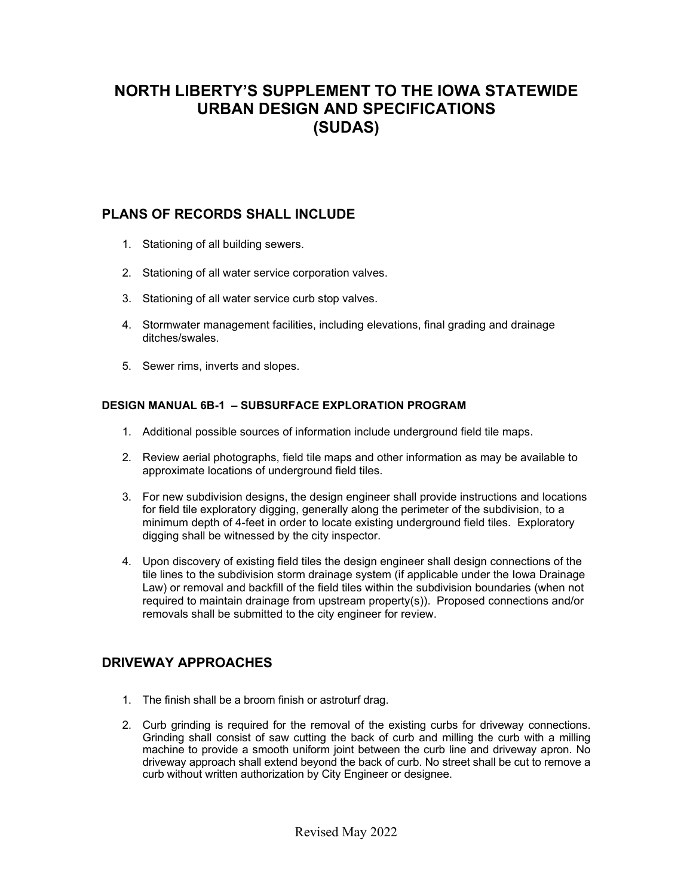# **NORTH LIBERTY'S SUPPLEMENT TO THE IOWA STATEWIDE URBAN DESIGN AND SPECIFICATIONS (SUDAS)**

## **PLANS OF RECORDS SHALL INCLUDE**

- 1. Stationing of all building sewers.
- 2. Stationing of all water service corporation valves.
- 3. Stationing of all water service curb stop valves.
- 4. Stormwater management facilities, including elevations, final grading and drainage ditches/swales.
- 5. Sewer rims, inverts and slopes.

#### **DESIGN MANUAL 6B-1 – SUBSURFACE EXPLORATION PROGRAM**

- 1. Additional possible sources of information include underground field tile maps.
- 2. Review aerial photographs, field tile maps and other information as may be available to approximate locations of underground field tiles.
- 3. For new subdivision designs, the design engineer shall provide instructions and locations for field tile exploratory digging, generally along the perimeter of the subdivision, to a minimum depth of 4-feet in order to locate existing underground field tiles. Exploratory digging shall be witnessed by the city inspector.
- 4. Upon discovery of existing field tiles the design engineer shall design connections of the tile lines to the subdivision storm drainage system (if applicable under the Iowa Drainage Law) or removal and backfill of the field tiles within the subdivision boundaries (when not required to maintain drainage from upstream property(s)). Proposed connections and/or removals shall be submitted to the city engineer for review.

# **DRIVEWAY APPROACHES**

- 1. The finish shall be a broom finish or astroturf drag.
- 2. Curb grinding is required for the removal of the existing curbs for driveway connections. Grinding shall consist of saw cutting the back of curb and milling the curb with a milling machine to provide a smooth uniform joint between the curb line and driveway apron. No driveway approach shall extend beyond the back of curb. No street shall be cut to remove a curb without written authorization by City Engineer or designee.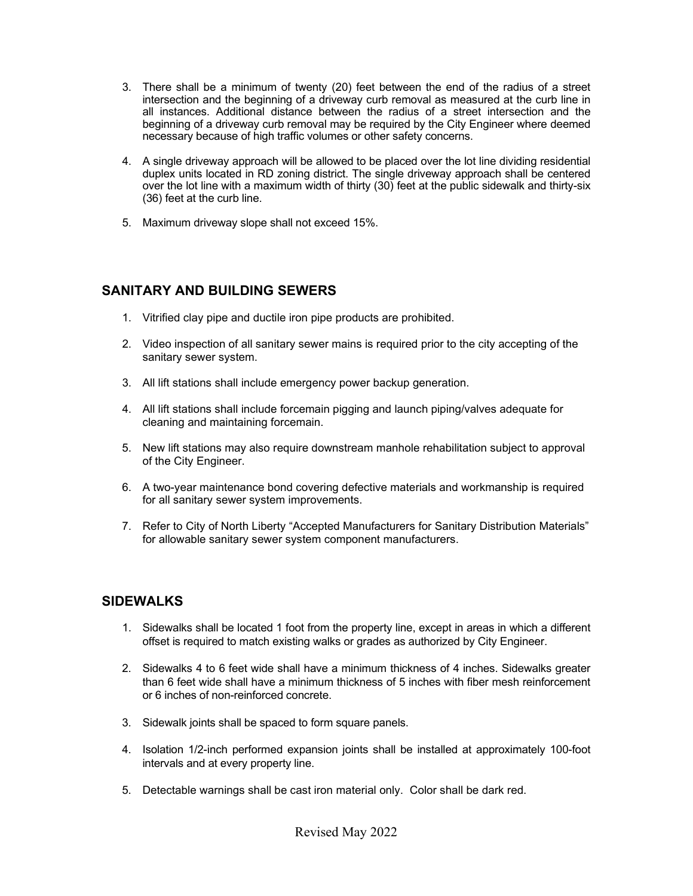- 3. There shall be a minimum of twenty (20) feet between the end of the radius of a street intersection and the beginning of a driveway curb removal as measured at the curb line in all instances. Additional distance between the radius of a street intersection and the beginning of a driveway curb removal may be required by the City Engineer where deemed necessary because of high traffic volumes or other safety concerns.
- 4. A single driveway approach will be allowed to be placed over the lot line dividing residential duplex units located in RD zoning district. The single driveway approach shall be centered over the lot line with a maximum width of thirty (30) feet at the public sidewalk and thirty-six (36) feet at the curb line.
- 5. Maximum driveway slope shall not exceed 15%.

#### **SANITARY AND BUILDING SEWERS**

- 1. Vitrified clay pipe and ductile iron pipe products are prohibited.
- 2. Video inspection of all sanitary sewer mains is required prior to the city accepting of the sanitary sewer system.
- 3. All lift stations shall include emergency power backup generation.
- 4. All lift stations shall include forcemain pigging and launch piping/valves adequate for cleaning and maintaining forcemain.
- 5. New lift stations may also require downstream manhole rehabilitation subject to approval of the City Engineer.
- 6. A two-year maintenance bond covering defective materials and workmanship is required for all sanitary sewer system improvements.
- 7. Refer to City of North Liberty "Accepted Manufacturers for Sanitary Distribution Materials" for allowable sanitary sewer system component manufacturers.

#### **SIDEWALKS**

- 1. Sidewalks shall be located 1 foot from the property line, except in areas in which a different offset is required to match existing walks or grades as authorized by City Engineer.
- 2. Sidewalks 4 to 6 feet wide shall have a minimum thickness of 4 inches. Sidewalks greater than 6 feet wide shall have a minimum thickness of 5 inches with fiber mesh reinforcement or 6 inches of non-reinforced concrete.
- 3. Sidewalk joints shall be spaced to form square panels.
- 4. Isolation 1/2-inch performed expansion joints shall be installed at approximately 100-foot intervals and at every property line.
- 5. Detectable warnings shall be cast iron material only. Color shall be dark red.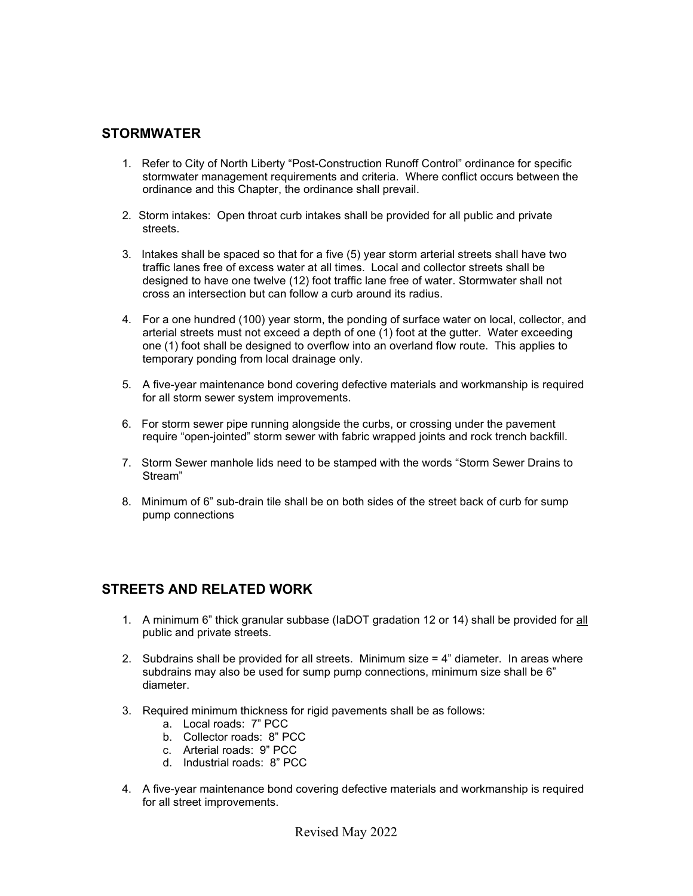### **STORMWATER**

- 1. Refer to City of North Liberty "Post-Construction Runoff Control" ordinance for specific stormwater management requirements and criteria. Where conflict occurs between the ordinance and this Chapter, the ordinance shall prevail.
- 2. Storm intakes: Open throat curb intakes shall be provided for all public and private streets.
- 3. Intakes shall be spaced so that for a five (5) year storm arterial streets shall have two traffic lanes free of excess water at all times. Local and collector streets shall be designed to have one twelve (12) foot traffic lane free of water. Stormwater shall not cross an intersection but can follow a curb around its radius.
- 4. For a one hundred (100) year storm, the ponding of surface water on local, collector, and arterial streets must not exceed a depth of one (1) foot at the gutter. Water exceeding one (1) foot shall be designed to overflow into an overland flow route. This applies to temporary ponding from local drainage only.
- 5. A five-year maintenance bond covering defective materials and workmanship is required for all storm sewer system improvements.
- 6. For storm sewer pipe running alongside the curbs, or crossing under the pavement require "open-jointed" storm sewer with fabric wrapped joints and rock trench backfill.
- 7. Storm Sewer manhole lids need to be stamped with the words "Storm Sewer Drains to Stream"
- 8. Minimum of 6" sub-drain tile shall be on both sides of the street back of curb for sump pump connections

#### **STREETS AND RELATED WORK**

- 1. A minimum 6" thick granular subbase (IaDOT gradation 12 or 14) shall be provided for all public and private streets.
- 2. Subdrains shall be provided for all streets. Minimum size  $=$  4" diameter. In areas where subdrains may also be used for sump pump connections, minimum size shall be 6" diameter.
- 3. Required minimum thickness for rigid pavements shall be as follows:
	- a. Local roads: 7" PCC
	- b. Collector roads: 8" PCC
	- c. Arterial roads: 9" PCC
	- d. Industrial roads: 8" PCC
- 4. A five-year maintenance bond covering defective materials and workmanship is required for all street improvements.